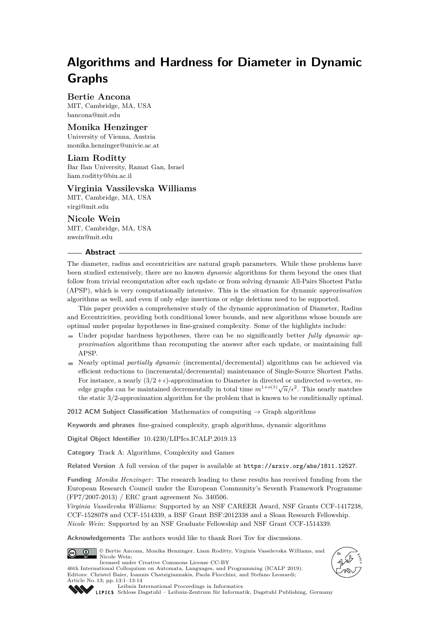# **Algorithms and Hardness for Diameter in Dynamic Graphs**

**Bertie Ancona** MIT, Cambridge, MA, USA [bancona@mit.edu](mailto:bancona@mit.edu)

## **Monika Henzinger**

University of Vienna, Austria [monika.henzinger@univie.ac.at](mailto:monika.henzinger@univie.ac.at)

## **Liam Roditty**

Bar Ilan University, Ramat Gan, Israel [liam.roditty@biu.ac.il](mailto:liam.roditty@biu.ac.il)

## **Virginia Vassilevska Williams**

MIT, Cambridge, MA, USA [virgi@mit.edu](mailto:virgi@mit.edu)

## **Nicole Wein**

MIT, Cambridge, MA, USA [nwein@mit.edu](mailto:nwein@mit.edu)

#### **Abstract**

The diameter, radius and eccentricities are natural graph parameters. While these problems have been studied extensively, there are no known *dynamic* algorithms for them beyond the ones that follow from trivial recomputation after each update or from solving dynamic All-Pairs Shortest Paths (APSP), which is very computationally intensive. This is the situation for dynamic *approximation* algorithms as well, and even if only edge insertions or edge deletions need to be supported.

This paper provides a comprehensive study of the dynamic approximation of Diameter, Radius and Eccentricities, providing both conditional lower bounds, and new algorithms whose bounds are optimal under popular hypotheses in fine-grained complexity. Some of the highlights include:

- Under popular hardness hypotheses, there can be no significantly better *fully dynamic approximation* algorithms than recomputing the answer after each update, or maintaining full APSP.
- Nearly optimal *partially dynamic* (incremental/decremental) algorithms can be achieved via efficient reductions to (incremental/decremental) maintenance of Single-Source Shortest Paths. For instance, a nearly  $(3/2 + \epsilon)$ -approximation to Diameter in directed or undirected *n*-vertex, *m*edge graphs can be maintained decrementally in total time  $m^{1+o(1)}\sqrt{n}/\epsilon^2$ . This nearly matches the static 3*/*2-approximation algorithm for the problem that is known to be conditionally optimal.

**2012 ACM Subject Classification** Mathematics of computing → Graph algorithms

**Keywords and phrases** fine-grained complexity, graph algorithms, dynamic algorithms

**Digital Object Identifier** [10.4230/LIPIcs.ICALP.2019.13](https://doi.org/10.4230/LIPIcs.ICALP.2019.13)

**Category** Track A: Algorithms, Complexity and Games

**Related Version** A full version of the paper is available at <https://arxiv.org/abs/1811.12527>.

**Funding** *Monika Henzinger*: The research leading to these results has received funding from the European Research Council under the European Community's Seventh Framework Programme (FP7/2007-2013) / ERC grant agreement No. 340506.

*Virginia Vassilevska Williams*: Supported by an NSF CAREER Award, NSF Grants CCF-1417238, CCF-1528078 and CCF-1514339, a BSF Grant BSF:2012338 and a Sloan Research Fellowship. *Nicole Wein*: Supported by an NSF Graduate Fellowship and NSF Grant CCF-1514339.

**Acknowledgements** The authors would like to thank Roei Tov for discussions.







[Leibniz International Proceedings in Informatics](https://www.dagstuhl.de/lipics/) [Schloss Dagstuhl – Leibniz-Zentrum für Informatik, Dagstuhl Publishing, Germany](https://www.dagstuhl.de)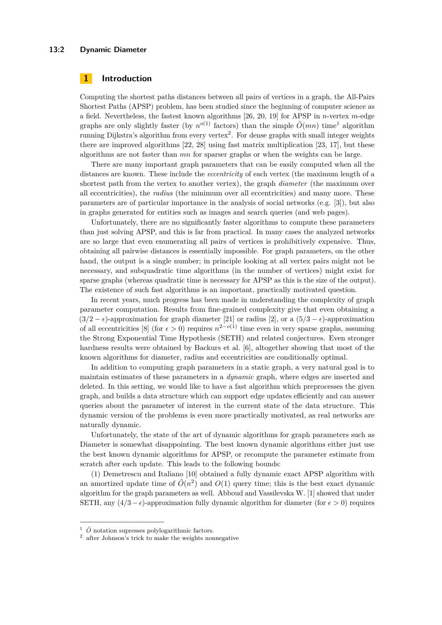#### **13:2 Dynamic Diameter**

## **1 Introduction**

Computing the shortest paths distances between all pairs of vertices in a graph, the All-Pairs Shortest Paths (APSP) problem, has been studied since the beginning of computer science as a field. Nevertheless, the fastest known algorithms [\[26,](#page-13-1) [20,](#page-13-2) [19\]](#page-13-3) for APSP in *n*-vertex *m*-edge graphs are only slightly faster (by  $n^{o(1)}$  $n^{o(1)}$  $n^{o(1)}$  factors) than the simple  $\tilde{O}(mn)$  time<sup>1</sup> algorithm running Dijkstra's algorithm from every vertex<sup>[2](#page-1-1)</sup>. For dense graphs with small integer weights there are improved algorithms [\[22,](#page-13-4) [28\]](#page-13-5) using fast matrix multiplication [\[23,](#page-13-6) [17\]](#page-13-7), but these algorithms are not faster than *mn* for sparser graphs or when the weights can be large.

There are many important graph parameters that can be easily computed when all the distances are known. These include the *eccentricity* of each vertex (the maximum length of a shortest path from the vertex to another vertex), the graph *diameter* (the maximum over all eccentricities), the *radius* (the minimum over all eccentricities) and many more. These parameters are of particular importance in the analysis of social networks (e.g. [\[3\]](#page-12-0)), but also in graphs generated for entities such as images and search queries (and web pages).

Unfortunately, there are no significantly faster algorithms to compute these parameters than just solving APSP, and this is far from practical. In many cases the analyzed networks are so large that even enumerating all pairs of vertices is prohibitively expensive. Thus, obtaining all pairwise distances is essentially impossible. For graph parameters, on the other hand, the output is a single number; in principle looking at all vertex pairs might not be necessary, and subquadratic time algorithms (in the number of vertices) might exist for sparse graphs (whereas quadratic time is necessary for APSP as this is the size of the output). The existence of such fast algorithms is an important, practically motivated question.

In recent years, much progress has been made in understanding the complexity of graph parameter computation. Results from fine-grained complexity give that even obtaining a  $(3/2 - \epsilon)$ -approximation for graph diameter [\[21\]](#page-13-8) or radius [\[2\]](#page-12-1), or a  $(5/3 - \epsilon)$ -approximation of all eccentricities [\[8\]](#page-12-2) (for  $\epsilon > 0$ ) requires  $n^{2-o(1)}$  time even in very sparse graphs, assuming the Strong Exponential Time Hypothesis (SETH) and related conjectures. Even stronger hardness results were obtained by Backurs et al. [\[6\]](#page-12-3), altogether showing that most of the known algorithms for diameter, radius and eccentricities are conditionally optimal.

In addition to computing graph parameters in a static graph, a very natural goal is to maintain estimates of these parameters in a *dynamic* graph, where edges are inserted and deleted. In this setting, we would like to have a fast algorithm which preprocesses the given graph, and builds a data structure which can support edge updates efficiently and can answer queries about the parameter of interest in the current state of the data structure. This dynamic version of the problems is even more practically motivated, as real networks are naturally dynamic.

Unfortunately, the state of the art of dynamic algorithms for graph parameters such as Diameter is somewhat disappointing. The best known dynamic algorithms either just use the best known dynamic algorithms for APSP, or recompute the parameter estimate from scratch after each update. This leads to the following bounds:

(1) Demetrescu and Italiano [\[10\]](#page-12-4) obtained a fully dynamic exact APSP algorithm with an amortized update time of  $\tilde{O}(n^2)$  and  $O(1)$  query time; this is the best exact dynamic algorithm for the graph parameters as well. Abboud and Vassilevska W. [\[1\]](#page-12-5) showed that under SETH, any  $(4/3 - \epsilon)$ -approximation fully dynamic algorithm for diameter (for  $\epsilon > 0$ ) requires

<span id="page-1-0"></span> $\frac{1}{2}$   $\tilde{O}$  notation supresses polylogarithmic factors.

<span id="page-1-1"></span><sup>&</sup>lt;sup>2</sup> after Johnson's trick to make the weights nonnegative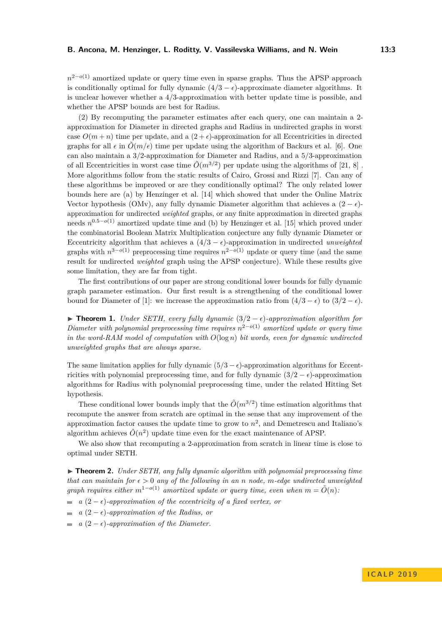*n*<sup>2−*o*(1)</sup> amortized update or query time even in sparse graphs. Thus the APSP approach is conditionally optimal for fully dynamic  $(4/3 - \epsilon)$ -approximate diameter algorithms. It is unclear however whether a 4*/*3-approximation with better update time is possible, and whether the APSP bounds are best for Radius.

(2) By recomputing the parameter estimates after each query, one can maintain a 2 approximation for Diameter in directed graphs and Radius in undirected graphs in worst case  $O(m+n)$  time per update, and a  $(2+\epsilon)$ -approximation for all Eccentricities in directed graphs for all  $\epsilon$  in  $\tilde{O}(m/\epsilon)$  time per update using the algorithm of Backurs et al. [\[6\]](#page-12-3). One can also maintain a 3*/*2-approximation for Diameter and Radius, and a 5*/*3-approximation of all Eccentricities in worst case time  $\tilde{O}(m^{3/2})$  per update using the algorithms of [\[21,](#page-13-8) [8\]](#page-12-2). More algorithms follow from the static results of Cairo, Grossi and Rizzi [\[7\]](#page-12-6). Can any of these algorithms be improved or are they conditionally optimal? The only related lower bounds here are (a) by Henzinger et al. [\[14\]](#page-12-7) which showed that under the Online Matrix Vector hypothesis (OMv), any fully dynamic Diameter algorithm that achieves a  $(2 - \epsilon)$ approximation for undirected *weighted* graphs, or any finite approximation in directed graphs needs  $n^{0.5-o(1)}$  amortized update time and (b) by Henzinger et al. [\[15\]](#page-12-8) which proved under the combinatorial Boolean Matrix Multiplication conjecture any fully dynamic Diameter or Eccentricity algorithm that achieves a  $(4/3 - \epsilon)$ -approximation in undirected *unweighted* graphs with  $n^{3-o(1)}$  preprocessing time requires  $n^{2-o(1)}$  update or query time (and the same result for undirected *weighted* graph using the APSP conjecture). While these results give some limitation, they are far from tight.

The first contributions of our paper are strong conditional lower bounds for fully dynamic graph parameter estimation. Our first result is a strengthening of the conditional lower bound for Diameter of [\[1\]](#page-12-5): we increase the approximation ratio from  $(4/3 - \epsilon)$  to  $(3/2 - \epsilon)$ .

**► Theorem 1.** *Under SETH, every fully dynamic*  $(3/2 - \epsilon)$ *-approximation algorithm for Diameter with polynomial preprocessing time requires n* <sup>2</sup>−*o*(1) *amortized update or query time in the word-RAM model of computation with O*(log *n*) *bit words, even for dynamic undirected unweighted graphs that are always sparse.*

The same limitation applies for fully dynamic  $(5/3 - \epsilon)$ -approximation algorithms for Eccentricities with polynomial preprocessing time, and for fully dynamic  $(3/2 - \epsilon)$ -approximation algorithms for Radius with polynomial preprocessing time, under the related Hitting Set hypothesis.

These conditional lower bounds imply that the  $\tilde{O}(m^{3/2})$  time estimation algorithms that recompute the answer from scratch are optimal in the sense that any improvement of the approximation factor causes the update time to grow to  $n^2$ , and Demetrescu and Italiano's algorithm achieves  $\tilde{O}(n^2)$  update time even for the exact maintenance of APSP.

We also show that recomputing a 2-approximation from scratch in linear time is close to optimal under SETH.

► **Theorem 2.** *Under SETH, any fully dynamic algorithm with polynomial preprocessing time that can maintain for*  $\epsilon > 0$  *any of the following in an n node, m-edge undirected unweighted graph requires either*  $m^{1-o(1)}$  *amortized update or query time, even when*  $m = \tilde{O}(n)$ *:* 

- $\alpha$  (2 −  $\epsilon$ )*-approximation of the eccentricity of a fixed vertex, or*
- *a*  $(2 \epsilon)$ *-approximation of the Radius, or*  $\sim$
- *a*  $(2 \epsilon)$ *-approximation of the Diameter.*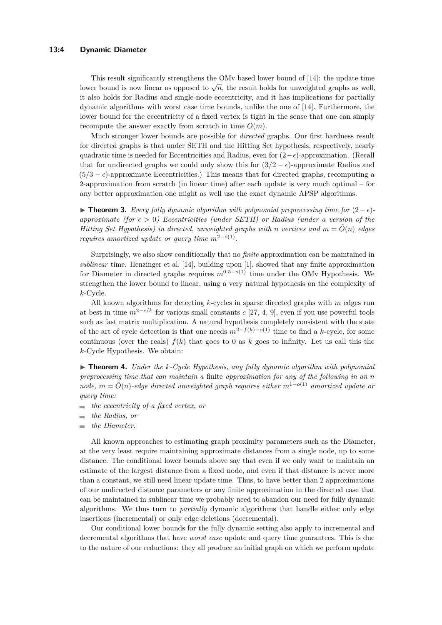#### **13:4 Dynamic Diameter**

This result significantly strengthens the OMv based lower bound of [\[14\]](#page-12-7): the update time lower bound is now linear as opposed to  $\sqrt{n}$ , the result holds for unweighted graphs as well, it also holds for Radius and single-node eccentricity, and it has implications for partially dynamic algorithms with worst case time bounds, unlike the one of [\[14\]](#page-12-7). Furthermore, the lower bound for the eccentricity of a fixed vertex is tight in the sense that one can simply recompute the answer exactly from scratch in time  $O(m)$ .

Much stronger lower bounds are possible for *directed* graphs. Our first hardness result for directed graphs is that under SETH and the Hitting Set hypothesis, respectively, nearly quadratic time is needed for Eccentricities and Radius, even for  $(2-\epsilon)$ -approximation. (Recall that for undirected graphs we could only show this for  $(3/2 - \epsilon)$ -approximate Radius and  $(5/3 - \epsilon)$ -approximate Eccentricities.) This means that for directed graphs, recomputing a 2-approximation from scratch (in linear time) after each update is very much optimal – for any better approximation one might as well use the exact dynamic APSP algorithms.

**► Theorem 3.** Every fully dynamic algorithm with polynomial preprocessing time for  $(2 - \epsilon)$ *approximate (for*  $\epsilon > 0$ ) *Eccentricities (under SETH) or Radius (under a version of the Hitting Set Hypothesis) in directed, unweighted graphs with n vertices and*  $m = \tilde{O}(n)$  *edges requires amortized update or query time*  $m^{2-o(1)}$ *.* 

Surprisingly, we also show conditionally that no *finite* approximation can be maintained in *sublinear* time. Henzinger et al. [\[14\]](#page-12-7), building upon [\[1\]](#page-12-5), showed that any finite approximation for Diameter in directed graphs requires  $m^{0.5-o(1)}$  time under the OMv Hypothesis. We strengthen the lower bound to linear, using a very natural hypothesis on the complexity of *k*-Cycle.

All known algorithms for detecting *k*-cycles in sparse directed graphs with *m* edges run at best in time  $m^{2-c/k}$  for various small constants *c* [\[27,](#page-13-9) [4,](#page-12-9) [9\]](#page-12-10), even if you use powerful tools such as fast matrix multiplication. A natural hypothesis completely consistent with the state of the art of cycle detection is that one needs  $m^{2-f(k)-o(1)}$  time to find a *k*-cycle, for some continuous (over the reals)  $f(k)$  that goes to 0 as  $k$  goes to infinity. Let us call this the *k*-Cycle Hypothesis. We obtain:

▶ **Theorem 4.** *Under the k-Cycle Hypothesis, any fully dynamic algorithm with polynomial preprocessing time that can maintain a* finite *approximation for any of the following in an n node,*  $m = \tilde{O}(n)$ -edge directed unweighted graph requires either  $m^{1-o(1)}$  amortized update or *query time:*

- *the eccentricity of a fixed vertex, or*  $\overline{\phantom{0}}$
- *the Radius, or*
- *the Diameter.*  $\overline{\phantom{a}}$

All known approaches to estimating graph proximity parameters such as the Diameter, at the very least require maintaining approximate distances from a single node, up to some distance. The conditional lower bounds above say that even if we only want to maintain an estimate of the largest distance from a fixed node, and even if that distance is never more than a constant, we still need linear update time. Thus, to have better than 2 approximations of our undirected distance parameters or any finite approximation in the directed case that can be maintained in sublinear time we probably need to abandon our need for fully dynamic algorithms. We thus turn to *partially* dynamic algorithms that handle either only edge insertions (incremental) or only edge deletions (decremental).

Our conditional lower bounds for the fully dynamic setting also apply to incremental and decremental algorithms that have *worst case* update and query time guarantees. This is due to the nature of our reductions: they all produce an initial graph on which we perform update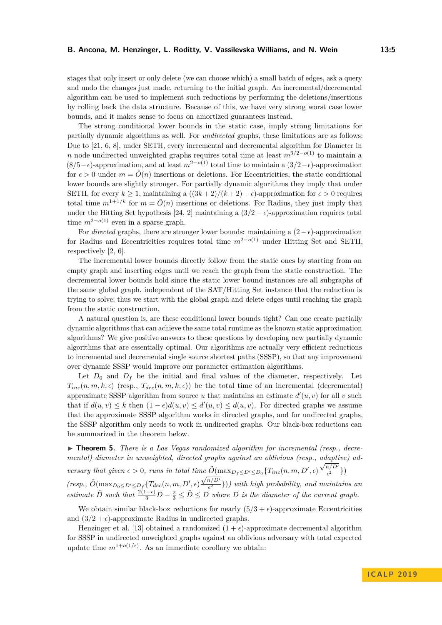stages that only insert or only delete (we can choose which) a small batch of edges, ask a query and undo the changes just made, returning to the initial graph. An incremental/decremental algorithm can be used to implement such reductions by performing the deletions/insertions by rolling back the data structure. Because of this, we have very strong worst case lower bounds, and it makes sense to focus on amortized guarantees instead.

The strong conditional lower bounds in the static case, imply strong limitations for partially dynamic algorithms as well. For *undirected* graphs, these limitations are as follows: Due to [\[21,](#page-13-8) [6,](#page-12-3) [8\]](#page-12-2), under SETH, every incremental and decremental algorithm for Diameter in *n* node undirected unweighted graphs requires total time at least  $m^{3/2-o(1)}$  to maintain a  $(8/5-\epsilon)$ -approximation, and at least  $m^{2-o(1)}$  total time to maintain a  $(3/2-\epsilon)$ -approximation for  $\epsilon > 0$  under  $m = \tilde{O}(n)$  insertions or deletions. For Eccentricities, the static conditional lower bounds are slightly stronger. For partially dynamic algorithms they imply that under SETH, for every  $k > 1$ , maintaining a  $((3k+2)/(k+2) - \epsilon)$ -approximation for  $\epsilon > 0$  requires total time  $m^{1+1/k}$  for  $m = \tilde{O}(n)$  insertions or deletions. For Radius, they just imply that under the Hitting Set hypothesis [\[24,](#page-13-10) [2\]](#page-12-1) maintaining a  $(3/2 - \epsilon)$ -approximation requires total time *m*<sup>2</sup>−*o*(1) even in a sparse graph.

For *directed* graphs, there are stronger lower bounds: maintaining a  $(2 - \epsilon)$ -approximation for Radius and Eccentricities requires total time  $m^{2-o(1)}$  under Hitting Set and SETH, respectively [\[2,](#page-12-1) [6\]](#page-12-3).

The incremental lower bounds directly follow from the static ones by starting from an empty graph and inserting edges until we reach the graph from the static construction. The decremental lower bounds hold since the static lower bound instances are all subgraphs of the same global graph, independent of the SAT/Hitting Set instance that the reduction is trying to solve; thus we start with the global graph and delete edges until reaching the graph from the static construction.

A natural question is, are these conditional lower bounds tight? Can one create partially dynamic algorithms that can achieve the same total runtime as the known static approximation algorithms? We give positive answers to these questions by developing new partially dynamic algorithms that are essentially optimal. Our algorithms are actually very efficient reductions to incremental and decremental single source shortest paths (SSSP), so that any improvement over dynamic SSSP would improve our parameter estimation algorithms.

Let  $D_0$  and  $D_f$  be the initial and final values of the diameter, respectively. Let  $T_{inc}(n, m, k, \epsilon)$  (resp.,  $T_{dec}(n, m, k, \epsilon)$ ) be the total time of an incremental (decremental) approximate SSSP algorithm from source  $u$  that maintains an estimate  $d'(u, v)$  for all  $v$  such that if  $d(u, v) \leq k$  then  $(1 - \epsilon)d(u, v) \leq d'(u, v) \leq d(u, v)$ . For directed graphs we assume that the approximate SSSP algorithm works in directed graphs, and for undirected graphs, the SSSP algorithm only needs to work in undirected graphs. Our black-box reductions can be summarized in the theorem below.

▶ **Theorem 5.** *There is a Las Vegas randomized algorithm for incremental (resp., decremental) diameter in unweighted, directed graphs against an oblivious (resp., adaptive) adversary that given*  $\epsilon > 0$ , *runs in total time*  $\tilde{O}(\max_{D_f \leq D' \leq D_0} \{T_{inc}(n, m, D', \epsilon)\})$ aaapta<br>√n/D  $\frac{n/D'}{\epsilon^2}\}$  $(resp., \tilde{O}(\max_{D_0 \leq D' \leq D_f} \{T_{dec}(n, m, D', \epsilon)\})$  $\frac{\mu e}{\sqrt{n/D'}}$  $\left(\frac{n}{\epsilon^2}\right)$ )) with high probability, and maintains an

*estimate*  $\hat{D}$  *such that*  $\frac{2(1-\epsilon)}{3}D - \frac{2}{3} \leq \hat{D} \leq D$  *where*  $D$  *is the diameter of the current graph.* 

We obtain similar black-box reductions for nearly  $(5/3 + \epsilon)$ -approximate Eccentricities and  $(3/2 + \epsilon)$ -approximate Radius in undirected graphs.

Henzinger et al. [\[13\]](#page-12-11) obtained a randomized  $(1 + \epsilon)$ -approximate decremental algorithm for SSSP in undirected unweighted graphs against an oblivious adversary with total expected update time  $m^{1+o(1/\epsilon)}$ . As an immediate corollary we obtain: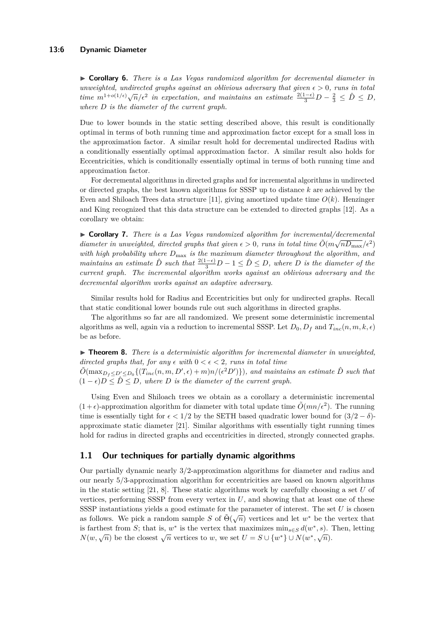#### **13:6 Dynamic Diameter**

I **Corollary 6.** *There is a Las Vegas randomized algorithm for decremental diameter in unweighted, undirected graphs against an oblivious adversary that given*  $\epsilon > 0$ *, runs in total time*  $m^{1+o(1/\epsilon)}\sqrt{n}/\epsilon^2$  in expectation, and maintains an estimate  $\frac{2(1-\epsilon)}{3}D-\frac{2}{3} \leq \hat{D} \leq D$ , *where D is the diameter of the current graph.*

Due to lower bounds in the static setting described above, this result is conditionally optimal in terms of both running time and approximation factor except for a small loss in the approximation factor. A similar result hold for decremental undirected Radius with a conditionally essentially optimal approximation factor. A similar result also holds for Eccentricities, which is conditionally essentially optimal in terms of both running time and approximation factor.

For decremental algorithms in directed graphs and for incremental algorithms in undirected or directed graphs, the best known algorithms for SSSP up to distance *k* are achieved by the Even and Shiloach Trees data structure [\[11\]](#page-12-12), giving amortized update time  $O(k)$ . Henzinger and King recognized that this data structure can be extended to directed graphs [\[12\]](#page-12-13). As a corollary we obtain:

**► Corollary 7.** *There is a Las Vegas randomized algorithm for incremental/decremental diameter in unweighted, directed graphs that given*  $\epsilon > 0$ , runs in total time  $\tilde{O}(m\sqrt{nD_{\max}}/\epsilon^2)$ *with high probability where D*max *is the maximum diameter throughout the algorithm, and maintains an estimate*  $\hat{D}$  *such that*  $\frac{2(1-\epsilon)}{3}D - 1 \leq \hat{D} \leq D$ *, where D is the diameter of the current graph. The incremental algorithm works against an oblivious adversary and the decremental algorithm works against an adaptive adversary.*

Similar results hold for Radius and Eccentricities but only for undirected graphs. Recall that static conditional lower bounds rule out such algorithms in directed graphs.

The algorithms so far are all randomized. We present some deterministic incremental algorithms as well, again via a reduction to incremental SSSP. Let  $D_0$ ,  $D_f$  and  $T_{inc}(n, m, k, \epsilon)$ be as before.

 $\triangleright$  **Theorem 8.** *There is a deterministic algorithm for incremental diameter in unweighted, directed graphs that, for any*  $\epsilon$  *with*  $0 \leq \epsilon \leq 2$ *, runs in total time*  $\tilde{O}(\max_{D_f \leq D' \leq D_0} \{ (T_{inc}(n, m, D', \epsilon) + m)n/(\epsilon^2 D') \})$ , and maintains an estimate  $\hat{D}$  such that  $(1 - \epsilon)D < \hat{D} < D$ , where *D* is the diameter of the current graph.

Using Even and Shiloach trees we obtain as a corollary a deterministic incremental  $(1 + \epsilon)$ -approximation algorithm for diameter with total update time  $\tilde{O}(mn/\epsilon^2)$ . The running time is essentially tight for  $\epsilon < 1/2$  by the SETH based quadratic lower bound for  $(3/2 - \delta)$ approximate static diameter [\[21\]](#page-13-8). Similar algorithms with essentially tight running times hold for radius in directed graphs and eccentricities in directed, strongly connected graphs.

## **1.1 Our techniques for partially dynamic algorithms**

Our partially dynamic nearly 3*/*2-approximation algorithms for diameter and radius and our nearly 5*/*3-approximation algorithm for eccentricities are based on known algorithms in the static setting [\[21,](#page-13-8) [8\]](#page-12-2). These static algorithms work by carefully choosing a set *U* of vertices, performing SSSP from every vertex in *U*, and showing that at least one of these SSSP instantiations yields a good estimate for the parameter of interest. The set *U* is chosen as follows. We pick a random sample *S* of  $\tilde{\Theta}(\sqrt{n})$  vertices and let  $w^*$  be the vertex that is farthest from *S*; that is,  $w^*$  is the vertex that maximizes  $\min_{s \in S} d(w^*, s)$ . Then, letting *N*(*w*,  $\sqrt{n}$ ) be the closest  $\sqrt{n}$  vertices to *w*, we set  $U = S \cup \{w^*\} \cup N(w^*, \sqrt{n})$ .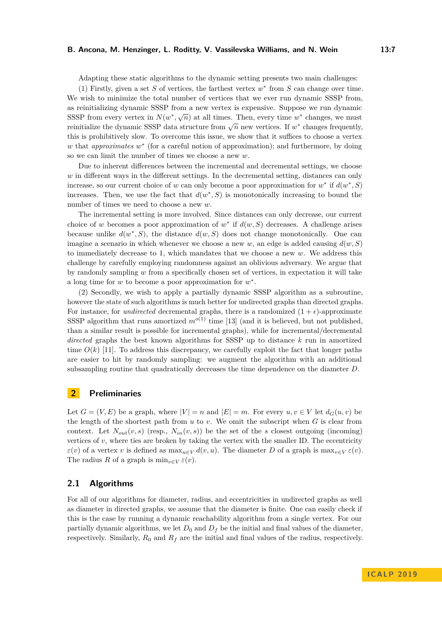### **B. Ancona, M. Henzinger, L. Roditty, V. Vassilevska Williams, and N. Wein 13:7**

Adapting these static algorithms to the dynamic setting presents two main challenges:

(1) Firstly, given a set  $S$  of vertices, the farthest vertex  $w^*$  from  $S$  can change over time. We wish to minimize the total number of vertices that we ever run dynamic SSSP from, as reinitializing dynamic SSSP from a new vertex is expensive. Suppose we run dynamic SSSP from every vertex in  $N(w^*, \sqrt{n})$  at all times. Then, every time  $w^*$  changes, we must reinitialize the dynamic SSSP data structure from  $\sqrt{n}$  new vertices. If *w*<sup>\*</sup> changes frequently, this is prohibitively slow. To overcome this issue, we show that it suffices to choose a vertex *w* that *approximates w*<sup>∗</sup> (for a careful notion of approximation); and furthermore, by doing so we can limit the number of times we choose a new *w*.

Due to inherent differences between the incremental and decremental settings, we choose *w* in different ways in the different settings. In the decremental setting, distances can only increase, so our current choice of *w* can only become a poor approximation for  $w^*$  if  $d(w^*, S)$ increases. Then, we use the fact that  $d(w^*, S)$  is monotonically increasing to bound the number of times we need to choose a new *w*.

The incremental setting is more involved. Since distances can only decrease, our current choice of *w* becomes a poor approximation of  $w^*$  if  $d(w, S)$  decreases. A challenge arises because unlike  $d(w^*, S)$ , the distance  $d(w, S)$  does not change monotonically. One can imagine a scenario in which whenever we choose a new  $w$ , an edge is added causing  $d(w, S)$ to immediately decrease to 1, which mandates that we choose a new *w*. We address this challenge by carefully employing randomness against an oblivious adversary. We argue that by randomly sampling *w* from a specifically chosen set of vertices, in expectation it will take a long time for *w* to become a poor approximation for *w* ∗ .

(2) Secondly, we wish to apply a partially dynamic SSSP algorithm as a subroutine, however the state of such algorithms is much better for undirected graphs than directed graphs. For instance, for *undirected* decremental graphs, there is a randomized  $(1 + \epsilon)$ -approximate SSSP algorithm that runs amortized  $m^{o(1)}$  time [\[13\]](#page-12-11) (and it is believed, but not published, than a similar result is possible for incremental graphs), while for incremental/decremental *directed* graphs the best known algorithms for SSSP up to distance *k* run in amortized time  $O(k)$  [\[11\]](#page-12-12). To address this discrepancy, we carefully exploit the fact that longer paths are easier to hit by randomly sampling: we augment the algorithm with an additional subsampling routine that quadratically decreases the time dependence on the diameter *D*.

## **2 Preliminaries**

Let  $G = (V, E)$  be a graph, where  $|V| = n$  and  $|E| = m$ . For every  $u, v \in V$  let  $d_G(u, v)$  be the length of the shortest path from *u* to *v*. We omit the subscript when *G* is clear from context. Let  $N_{out}(v, s)$  (resp.,  $N_{in}(v, s)$ ) be the set of the *s* closest outgoing (incoming) vertices of *v*, where ties are broken by taking the vertex with the smaller ID. The eccentricity  $\varepsilon(v)$  of a vertex *v* is defined as  $\max_{u \in V} d(v, u)$ . The diameter *D* of a graph is  $\max_{v \in V} \varepsilon(v)$ . The radius *R* of a graph is  $\min_{v \in V} \varepsilon(v)$ .

## **2.1 Algorithms**

For all of our algorithms for diameter, radius, and eccentricities in undirected graphs as well as diameter in directed graphs, we assume that the diameter is finite. One can easily check if this is the case by running a dynamic reachability algorithm from a single vertex. For our partially dynamic algorithms, we let  $D_0$  and  $D_f$  be the initial and final values of the diameter, respectively. Similarly,  $R_0$  and  $R_f$  are the initial and final values of the radius, respectively.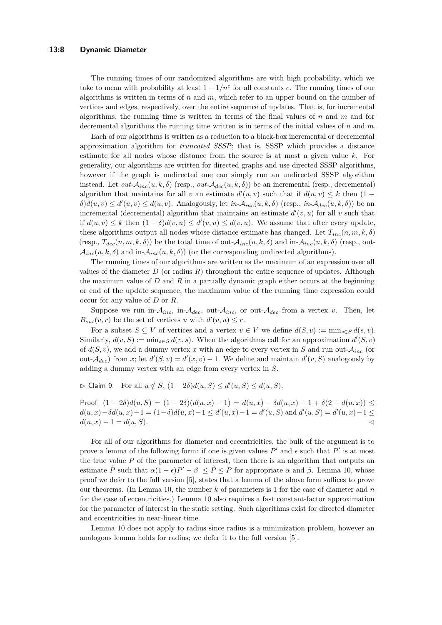The running times of our randomized algorithms are with high probability, which we take to mean with probability at least  $1 - 1/n^c$  for all constants *c*. The running times of our algorithms is written in terms of *n* and *m*, which refer to an upper bound on the number of vertices and edges, respectively, over the entire sequence of updates. That is, for incremental algorithms, the running time is written in terms of the final values of *n* and *m* and for decremental algorithms the running time written is in terms of the initial values of *n* and *m*.

Each of our algorithms is written as a reduction to a black-box incremental or decremental approximation algorithm for *truncated SSSP*; that is, SSSP which provides a distance estimate for all nodes whose distance from the source is at most a given value *k*. For generality, our algorithms are written for directed graphs and use directed SSSP algorithms, however if the graph is undirected one can simply run an undirected SSSP algorithm instead. Let  $out\text{-}\mathcal{A}_{inc}(u,k,\delta)$  (resp.,  $out\text{-}\mathcal{A}_{dec}(u,k,\delta)$ ) be an incremental (resp., decremental) algorithm that maintains for all *v* an estimate  $d'(u, v)$  such that if  $d(u, v) \leq k$  then  $(1 \delta$ ) $d(u, v) \le d'(u, v) \le d(u, v)$ . Analogously, let  $in \mathcal{A}_{inc}(u, k, \delta)$  (resp.,  $in \mathcal{A}_{dec}(u, k, \delta)$ ) be an incremental (decremental) algorithm that maintains an estimate  $d'(v, u)$  for all  $v$  such that if  $d(u, v) \leq k$  then  $(1 - \delta)d(v, u) \leq d'(v, u) \leq d(v, u)$ . We assume that after every update, these algorithms output all nodes whose distance estimate has changed. Let  $T_{inc}(n, m, k, \delta)$ (resp.,  $T_{dec}(n, m, k, \delta)$ ) be the total time of out- $A_{inc}(u, k, \delta)$  and in- $A_{inc}(u, k, \delta)$  (resp., out- $\mathcal{A}_{inc}(u, k, \delta)$  and in- $\mathcal{A}_{inc}(u, k, \delta)$  (or the corresponding undirected algorithms).

The running times of our algorithms are written as the maximum of an expression over all values of the diameter  $D$  (or radius  $R$ ) throughout the entire sequence of updates. Although the maximum value of *D* and *R* in a partially dynamic graph either occurs at the beginning or end of the update sequence, the maximum value of the running time expression could occur for any value of *D* or *R*.

Suppose we run in- $A_{inc}$ , in- $A_{dec}$ , out- $A_{inc}$ , or out- $A_{dec}$  from a vertex *v*. Then, let  $B_{out}(v,r)$  be the set of vertices *u* with  $d'(v,u) \leq r$ .

For a subset  $S \subseteq V$  of vertices and a vertex  $v \in V$  we define  $d(S, v) := \min_{s \in S} d(s, v)$ . Similarly,  $d(v, S) := \min_{s \in S} d(v, s)$ . When the algorithms call for an approximation  $d'(S, v)$ of  $d(S, v)$ , we add a dummy vertex *x* with an edge to every vertex in *S* and run out- $\mathcal{A}_{inc}$  (or out- $\mathcal{A}_{dec}$ ) from *x*; let  $d'(S, v) = d'(x, v) - 1$ . We define and maintain  $d'(v, S)$  analogously by adding a dummy vertex with an edge from every vertex in *S*.

 $\triangleright$  Claim 9. For all  $u \notin S$ ,  $(1-2\delta)d(u, S) \leq d'(u, S) \leq d(u, S)$ .

Proof.  $(1 - 2\delta)d(u, S) = (1 - 2\delta)(d(u, x) - 1) = d(u, x) - \delta d(u, x) - 1 + \delta(2 - d(u, x)) \le$  $d(u, x) - \delta d(u, x) - 1 = (1 - \delta) d(u, x) - 1 \le d'(u, x) - 1 = d'(u, S)$  and  $d'(u, S) = d'(u, x) - 1 \le d'(u, X) - 1$  $d(u, x) - 1 = d(u, S).$ 

For all of our algorithms for diameter and eccentricities, the bulk of the argument is to prove a lemma of the following form: if one is given values  $P'$  and  $\epsilon$  such that  $P'$  is at most the true value *P* of the parameter of interest, then there is an algorithm that outputs an estimate  $\hat{P}$  such that  $\alpha(1-\epsilon)P' - \beta \leq \hat{P} \leq P$  for appropriate  $\alpha$  and  $\beta$ . Lemma [10,](#page-7-0) whose proof we defer to the full version [\[5\]](#page-12-14), states that a lemma of the above form suffices to prove our theorems. (In Lemma [10,](#page-7-0) the number *k* of parameters is 1 for the case of diameter and *n* for the case of eccentricities.) Lemma [10](#page-7-0) also requires a fast constant-factor approximation for the parameter of interest in the static setting. Such algorithms exist for directed diameter and eccentricities in near-linear time.

<span id="page-7-0"></span>Lemma [10](#page-7-0) does not apply to radius since radius is a minimization problem, however an analogous lemma holds for radius; we defer it to the full version [\[5\]](#page-12-14).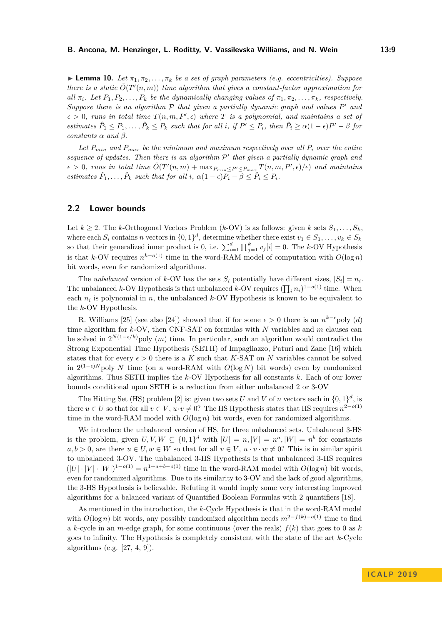**Lemma 10.** Let  $\pi_1, \pi_2, \ldots, \pi_k$  be a set of graph parameters (e.g. eccentricities). Suppose *there is a static*  $\tilde{O}(T'(n,m))$  *time algorithm that gives a constant-factor approximation for all*  $\pi_i$ *. Let*  $P_1, P_2, \ldots, P_k$  *be the dynamically changing values of*  $\pi_1, \pi_2, \ldots, \pi_k$ *, respectively. Suppose there is an algorithm*  $P$  *that given a partially dynamic graph and values*  $P'$  *and*  $\epsilon > 0$ , runs in total time  $T(n, m, P', \epsilon)$  where *T* is a polynomial, and maintains a set of estimates  $\hat{P}_1 \leq P_1, \ldots, \hat{P}_k \leq P_k$  such that for all i, if  $P' \leq P_i$ , then  $\hat{P}_i \geq \alpha(1 - \epsilon)P' - \beta$  for *constants*  $\alpha$  *and*  $\beta$ *.* 

*Let*  $P_{min}$  and  $P_{max}$  be the minimum and maximum respectively over all  $P_i$  over the entire sequence of updates. Then there is an algorithm  $\mathcal{P}'$  that given a partially dynamic graph and  $\epsilon > 0$ , runs in total time  $\tilde{O}(T'(n,m) + \max_{P_{min} \leq P' \leq P_{max}} T(n,m,P',\epsilon)/\epsilon)$  and maintains *estimates*  $\hat{P}_1, \ldots, \hat{P}_k$  *such that for all i*,  $\alpha(1 - \epsilon)P_i - \beta \le \hat{P}_i \le P_i$ .

## **2.2 Lower bounds**

Let  $k \geq 2$ . The *k*-Orthogonal Vectors Problem (*k*-OV) is as follows: given *k* sets  $S_1, \ldots, S_k$ , where each  $S_i$  contains *n* vectors in  $\{0,1\}^d$ , determine whether there exist  $v_1 \in S_1, \ldots, v_k \in S_k$ so that their generalized inner product is 0, i.e.  $\sum_{i=1}^{d} \prod_{j=1}^{k} v_j[i] = 0$ . The *k*-OV Hypothesis is that *k*-OV requires  $n^{k-o(1)}$  time in the word-RAM model of computation with  $O(\log n)$ bit words, even for randomized algorithms.

The *unbalanced* version of *k*-OV has the sets  $S_i$  potentially have different sizes,  $|S_i| = n_i$ . The unbalanced *k*-OV Hypothesis is that unbalanced *k*-OV requires  $(\prod_i n_i)^{1-o(1)}$  time. When each  $n_i$  is polynomial in  $n$ , the unbalanced  $k$ -OV Hypothesis is known to be equivalent to the *k*-OV Hypothesis.

R. Williams [\[25\]](#page-13-11) (see also [\[24\]](#page-13-10)) showed that if for some  $\epsilon > 0$  there is an  $n^{k-\epsilon}$ poly (*d*) time algorithm for *k*-OV, then CNF-SAT on formulas with *N* variables and *m* clauses can be solved in  $2^{N(1-\epsilon/k)}$  poly  $(m)$  time. In particular, such an algorithm would contradict the Strong Exponential Time Hypothesis (SETH) of Impagliazzo, Paturi and Zane [\[16\]](#page-12-15) which states that for every  $\epsilon > 0$  there is a *K* such that *K*-SAT on *N* variables cannot be solved in  $2^{(1-ε)N}$  poly *N* time (on a word-RAM with  $O(log N)$  bit words) even by randomized algorithms. Thus SETH implies the *k*-OV Hypothesis for all constants *k*. Each of our lower bounds conditional upon SETH is a reduction from either unbalanced 2 or 3-OV

The Hitting Set (HS) problem [\[2\]](#page-12-1) is: given two sets *U* and *V* of *n* vectors each in  $\{0,1\}^d$ , is there  $u \in U$  so that for all  $v \in V$ ,  $u \cdot v \neq 0$ ? The HS Hypothesis states that HS requires  $n^{2-o(1)}$ time in the word-RAM model with *O*(log *n*) bit words, even for randomized algorithms.

We introduce the unbalanced version of HS, for three unbalanced sets. Unbalanced 3-HS is the problem, given  $U, V, W \subseteq \{0, 1\}^d$  with  $|U| = n, |V| = n^a, |W| = n^b$  for constants  $a, b > 0$ , are there  $u \in U, w \in W$  so that for all  $v \in V, u \cdot v \cdot w \neq 0$ ? This is in similar spirit to unbalanced 3-OV. The unbalanced 3-HS Hypothesis is that unbalanced 3-HS requires  $(|U| \cdot |V| \cdot |W|)^{1-o(1)} = n^{1+a+b-o(1)}$  time in the word-RAM model with  $O(\log n)$  bit words, even for randomized algorithms. Due to its similarity to 3-OV and the lack of good algorithms, the 3-HS Hypothesis is believable. Refuting it would imply some very interesting improved algorithms for a balanced variant of Quantified Boolean Formulas with 2 quantifiers [\[18\]](#page-13-12).

As mentioned in the introduction, the *k*-Cycle Hypothesis is that in the word-RAM model with  $O(\log n)$  bit words, any possibly randomized algorithm needs  $m^{2-f(k)-o(1)}$  time to find a *k*-cycle in an *m*-edge graph, for some continuous (over the reals) *f*(*k*) that goes to 0 as *k* goes to infinity. The Hypothesis is completely consistent with the state of the art *k*-Cycle algorithms (e.g. [\[27,](#page-13-9) [4,](#page-12-9) [9\]](#page-12-10)).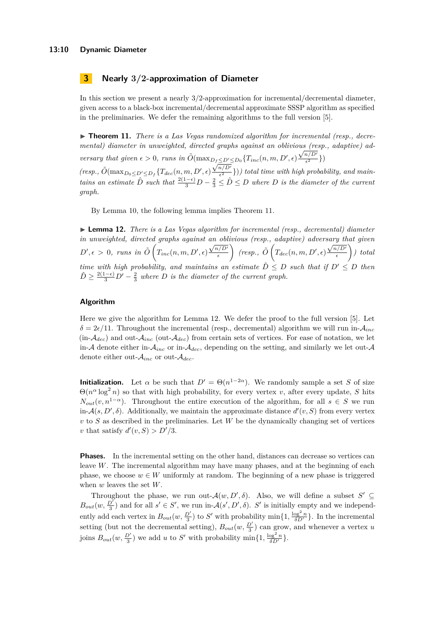#### **13:10 Dynamic Diameter**

## **3 Nearly 3***/***2-approximation of Diameter**

In this section we present a nearly 3*/*2-approximation for incremental/decremental diameter, given access to a black-box incremental/decremental approximate SSSP algorithm as specified in the preliminaries. We defer the remaining algorithms to the full version [\[5\]](#page-12-14).

<span id="page-9-0"></span>▶ **Theorem 11.** *There is a Las Vegas randomized algorithm for incremental (resp., decremental) diameter in unweighted, directed graphs against an oblivious (resp., adaptive) ad-*√ *versary that given*  $\epsilon > 0$ , *runs in*  $\tilde{O}(\max_{D_f \leq D' \leq D_0} \{T_{inc}(n, m, D', \epsilon) \frac{\sqrt{n/D'}}{\epsilon^2}$  $D_f \leq D' \leq D_0 \{ T_{inc}(n,m,D',\epsilon) \frac{\sqrt{n/D}}{\epsilon^2} \}$ 

 $(resp., \tilde{O}(max_{D_0 \leq D' \leq D_f} \{T_{dec}(n, m, D', \epsilon) \frac{\sqrt{n/D'}}{\epsilon^2})\}$  $\frac{n}{\epsilon^2}$ })) total time with high probability, and main*tains an estimate*  $\hat{D}$  *such that*  $\frac{2(1-\epsilon)}{3}D - \frac{2}{3} \leq \hat{D} \leq D$  *where*  $D$  *is the diameter of the current graph.*

By Lemma [10,](#page-7-0) the following lemma implies Theorem [11.](#page-9-0)

<span id="page-9-1"></span>I **Lemma 12.** *There is a Las Vegas algorithm for incremental (resp., decremental) diameter in unweighted, directed graphs against an oblivious (resp., adaptive) adversary that given*  $D', \epsilon > 0$ , runs in  $\tilde{O} \left( T_{inc}(n, m, D', \epsilon) \right)$  $\sqrt{n/D'}$  $\epsilon$  $\int$  (resp.,  $\tilde{O} \left( T_{dec}(n, m, D', \epsilon) \right)$ √ *n/D*<sup>0</sup>  $\epsilon$  *) total time with high probability, and maintains an estimate*  $\hat{D} \leq D$  *such that if*  $D' \leq D$  *then*  $\hat{D} \geq \frac{2(1-\epsilon)}{3}D' - \frac{2}{3}$  where *D* is the diameter of the current graph.

### **Algorithm**

Here we give the algorithm for Lemma [12.](#page-9-1) We defer the proof to the full version [\[5\]](#page-12-14). Let  $\delta = 2\epsilon/11$ . Throughout the incremental (resp., decremental) algorithm we will run in- $A_{inc}$ (in-A*dec*) and out-A*inc* (out-A*dec*) from certain sets of vertices. For ease of notation, we let in-A denote either in- $A_{inc}$  or in- $A_{dec}$ , depending on the setting, and similarly we let out-A denote either out-A*inc* or out-A*dec*.

**Initialization.** Let  $\alpha$  be such that  $D' = \Theta(n^{1-2\alpha})$ . We randomly sample a set *S* of size  $\Theta(n^{\alpha} \log^2 n)$  so that with high probability, for every vertex *v*, after every update, *S* hits  $N_{out}(v, n^{1-\alpha})$ . Throughout the entire execution of the algorithm, for all  $s \in S$  we run in- $\mathcal{A}(s, D', \delta)$ . Additionally, we maintain the approximate distance  $d'(v, S)$  from every vertex *v* to *S* as described in the preliminaries. Let *W* be the dynamically changing set of vertices *v* that satisfy  $d'(v, S) > D'/3$ .

**Phases.** In the incremental setting on the other hand, distances can decrease so vertices can leave *W*. The incremental algorithm may have many phases, and at the beginning of each phase, we choose  $w \in W$  uniformly at random. The beginning of a new phase is triggered when *w* leaves the set *W*.

Throughout the phase, we run out- $\mathcal{A}(w, D', \delta)$ . Also, we will define a subset  $S' \subseteq$  $B_{out}(w, \frac{D'}{3})$  and for all  $s' \in S'$ , we run in- $\mathcal{A}(s', D', \delta)$ . *S*' is initially empty and we independently add each vertex in  $B_{out}(w, \frac{D'}{3})$  to *S'* with probability  $\min\{1, \frac{\log^2 n}{\delta D'}\}$ . In the incremental setting (but not the decremental setting),  $B_{out}(w, \frac{D'}{3})$  can grow, and whenever a vertex *u* joins  $B_{out}(w, \frac{D'}{3})$  we add *u* to *S'* with probability  $\min\{1, \frac{\log^2 n}{\delta D'}\}$ .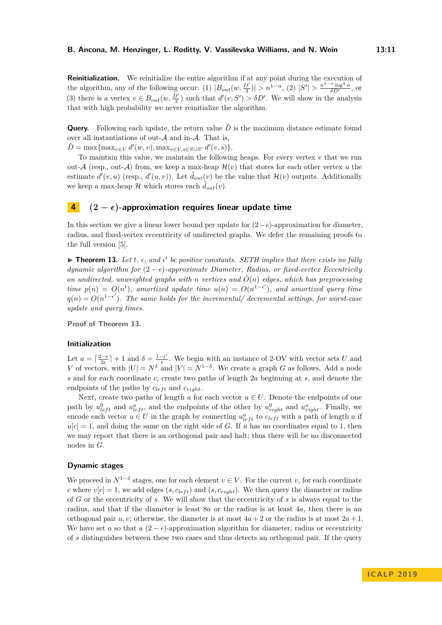**Reinitialization.** We reinitialize the entire algorithm if at any point during the execution of the algorithm, any of the following occur: (1)  $|B_{out}(w, \frac{D'}{3})| > n^{1-\alpha}$ , (2)  $|S'| > \frac{n^{1-\alpha} \log^4 n}{\delta D'}$ , or (3) there is a vertex  $v \in B_{out}(w, \frac{D'}{3})$  such that  $d'(v, S') > \delta D'$ . We will show in the analysis that with high probability we never reinitialize the algorithm.

**Query.** Following each update, the return value  $\hat{D}$  is the maximum distance estimate found over all instantiations of out- $A$  and in- $A$ . That is,

 $\hat{D} = \max\{\max_{v \in V} d'(w, v), \max_{v \in V, s \in S \cup S'} d'(v, s)\}.$ 

To maintain this value, we maintain the following heaps. For every vertex *v* that we run out- $\mathcal{A}$  (resp., out- $\mathcal{A}$ ) from, we keep a max-heap  $\mathcal{H}(v)$  that stores for each other vertex *u* the estimate  $d'(v, u)$  (resp.,  $d'(u, v)$ ). Let  $\hat{d}_{out}(v)$  be the value that  $\mathcal{H}(v)$  outputs. Additionally we keep a max-heap  $\mathcal{H}$  which stores each  $\hat{d}_{out}(v)$ .

## **4**  $(2 - \epsilon)$ -approximation requires linear update time

In this section we give a linear lower bound per update for  $(2-\epsilon)$ -approximation for diameter, radius, and fixed-vertex eccentricity of undirected graphs. We defer the remaining proofs to the full version [\[5\]](#page-12-14).

<span id="page-10-0"></span>**Theorem 13.** Let  $t$ ,  $\epsilon$ , and  $\epsilon'$  be positive constants. SETH implies that there exists no fully *dynamic algorithm for*  $(2 - \epsilon)$ *-approximate Diameter, Radius, or fixed-vertex Eccentricity on undirected, unweighted graphs with n* vertices and  $\tilde{O}(n)$  edges, which has preprocessing *time*  $p(n) = O(n^t)$ , amortized update time  $u(n) = O(n^{1-\epsilon'})$ , and amortized query time  $q(n) = O(n^{1-\epsilon'})$ . The same holds for the incremental/ decremental settings, for worst-case *update and query times.*

**Proof of Theorem [13.](#page-10-0)**

## **Initialization**

Let  $a = \lceil \frac{2-\epsilon}{2\epsilon} \rceil + 1$  and  $\delta = \frac{1-\epsilon'}{t}$  $\frac{f - \epsilon'}{t}$ . We begin with an instance of 2-OV with vector sets *U* and *V* of vectors, with  $|U| = N^{\delta}$  and  $|V| = N^{1-\delta}$ . We create a graph *G* as follows. Add a node *s* and for each coordinate *c*, create two paths of length 2*a* beginning at *s*, and denote the endpoints of the paths by  $c_{left}$  and  $c_{right}$ .

Next, create two paths of length  $a$  for each vector  $u \in U$ . Denote the endpoints of one path by  $u_{left}^0$  and  $u_{left}^a$ , and the endpoints of the other by  $u_{right}^0$  and  $u_{right}^a$ . Finally, we encode each vector  $u \in U$  in the graph by connecting  $u_{left}^a$  to  $c_{left}$  with a path of length *a* if  $u[c] = 1$ , and doing the same on the right side of *G*. If *u* has no coordinates equal to 1, then we may report that there is an orthogonal pair and halt; thus there will be no disconnected nodes in *G*.

#### **Dynamic stages**

We proceed in  $N^{1-\delta}$  stages, one for each element  $v \in V$ . For the current *v*, for each coordinate *c* where  $v[c] = 1$ , we add edges  $(s, c_{left})$  and  $(s, c_{right})$ . We then query the diameter or radius of *G* or the eccentricity of *s*. We will show that the eccentricity of *s* is always equal to the radius, and that if the diameter is least 8*a* or the radius is at least 4*a*, then there is an orthogonal pair *u, v*; otherwise, the diameter is at most  $4a + 2$  or the radius is at most  $2a + 1$ . We have set *a* so that a  $(2 - \epsilon)$ -approximation algorithm for diameter, radius or eccentricity of *s* distinguishes between these two cases and thus detects an orthogonal pair. If the query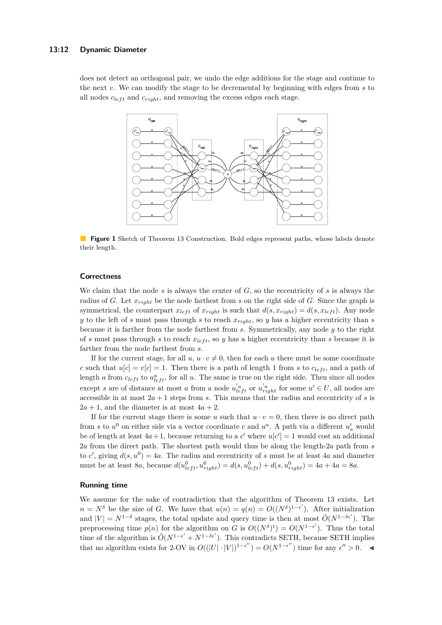#### **13:12 Dynamic Diameter**

does not detect an orthogonal pair, we undo the edge additions for the stage and continue to the next *v*. We can modify the stage to be decremental by beginning with edges from *s* to all nodes  $c_{left}$  and  $c_{right}$ , and removing the excess edges each stage.



**Figure 1** Sketch of Theorem [13](#page-10-0) Construction. Bold edges represent paths, whose labels denote their length.

## **Correctness**

We claim that the node  $s$  is always the center of  $G$ , so the eccentricity of  $s$  is always the radius of *G*. Let *xright* be the node farthest from *s* on the right side of *G*. Since the graph is symmetrical, the counterpart  $x_{left}$  of  $x_{right}$  is such that  $d(s, x_{right}) = d(s, x_{left})$ . Any node *y* to the left of *s* must pass through *s* to reach *xright*, so *y* has a higher eccentricity than *s* because it is farther from the node farthest from *s*. Symmetrically, any node *y* to the right of *s* must pass through *s* to reach  $x_{left}$ , so *y* has a higher eccentricity than *s* because it is farther from the node farthest from *s*.

If for the current stage, for all  $u, u \cdot v \neq 0$ , then for each *u* there must be some coordinate *c* such that  $u[c] = v[c] = 1$ . Then there is a path of length 1 from *s* to  $c_{left}$ , and a path of length *a* from  $c_{left}$  to  $u_{left}^{a}$ , for all *u*. The same is true on the right side. Then since all nodes except *s* are of distance at most *a* from a node  $u'_{left}$  or  $u'_{right}$  for some  $u' \in U$ , all nodes are accessible in at most  $2a + 1$  steps from *s*. This means that the radius and eccentricity of *s* is  $2a + 1$ , and the diameter is at most  $4a + 2$ .

If for the current stage there is some *u* such that  $u \cdot v = 0$ , then there is no direct path from *s* to  $u^0$  on either side via a vector coordinate *c* and  $u^a$ . A path via a different  $u'_a$  would be of length at least  $4a + 1$ , because returning to a *c*' where  $u[c'] = 1$  would cost an additional 2*a* from the direct path. The shortest path would thus be along the length-2*a* path from *s* to *c*<sup>'</sup>, giving  $d(s, u^0) = 4a$ . The radius and eccentricity of *s* must be at least 4*a* and diameter must be at least 8*a*, because  $d(u_{left}^0, u_{right}^0) = d(s, u_{left}^0) + d(s, u_{right}^0) = 4a + 4a = 8a$ .

### **Running time**

We assume for the sake of contradiction that the algorithm of Theorem [13](#page-10-0) exists. Let  $n = N^{\delta}$  be the size of *G*. We have that  $u(n) = q(n) = O((N^{\delta})^{1-\epsilon'})$ . After initialization and  $|V| = N^{1-\delta}$  stages, the total update and query time is then at most  $\tilde{O}(N^{1-\delta\epsilon'})$ . The preprocessing time  $p(n)$  for the algorithm on *G* is  $O((N^{\delta})^t) = O(N^{1-\epsilon'})$ . Thus the total time of the algorithm is  $\tilde{O}(N^{1-\epsilon'} + N^{1-\delta\epsilon'})$ . This contradicts SETH, because SETH implies that no algorithm exists for 2-OV in  $O((|U| \cdot |V|)^{1-\epsilon''}) = O(N^{1-\epsilon''})$  time for any  $\epsilon'' > 0$ .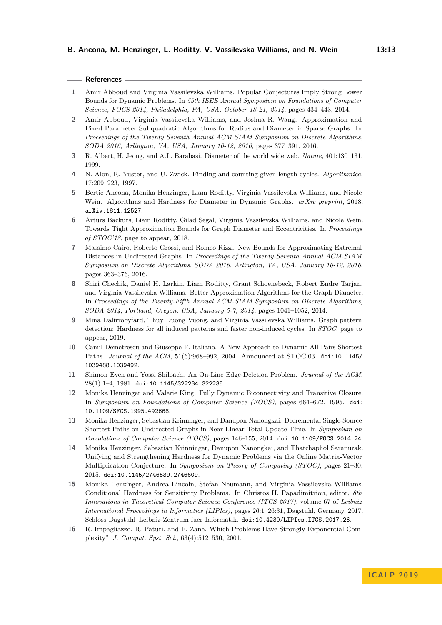## **References**

- <span id="page-12-5"></span>**1** Amir Abboud and Virginia Vassilevska Williams. Popular Conjectures Imply Strong Lower Bounds for Dynamic Problems. In *55th IEEE Annual Symposium on Foundations of Computer Science, FOCS 2014, Philadelphia, PA, USA, October 18-21, 2014*, pages 434–443, 2014.
- <span id="page-12-1"></span>**2** Amir Abboud, Virginia Vassilevska Williams, and Joshua R. Wang. Approximation and Fixed Parameter Subquadratic Algorithms for Radius and Diameter in Sparse Graphs. In *Proceedings of the Twenty-Seventh Annual ACM-SIAM Symposium on Discrete Algorithms, SODA 2016, Arlington, VA, USA, January 10-12, 2016*, pages 377–391, 2016.
- <span id="page-12-0"></span>**3** R. Albert, H. Jeong, and A.L. Barabasi. Diameter of the world wide web. *Nature*, 401:130–131, 1999.
- <span id="page-12-9"></span>**4** N. Alon, R. Yuster, and U. Zwick. Finding and counting given length cycles. *Algorithmica*, 17:209–223, 1997.
- <span id="page-12-14"></span>**5** Bertie Ancona, Monika Henzinger, Liam Roditty, Virginia Vassilevska Williams, and Nicole Wein. Algorithms and Hardness for Diameter in Dynamic Graphs. *arXiv preprint*, 2018. [arXiv:1811.12527](http://arxiv.org/abs/1811.12527).
- <span id="page-12-3"></span>**6** Arturs Backurs, Liam Roditty, Gilad Segal, Virginia Vassilevska Williams, and Nicole Wein. Towards Tight Approximation Bounds for Graph Diameter and Eccentricities. In *Proceedings of STOC'18*, page to appear, 2018.
- <span id="page-12-6"></span>**7** Massimo Cairo, Roberto Grossi, and Romeo Rizzi. New Bounds for Approximating Extremal Distances in Undirected Graphs. In *Proceedings of the Twenty-Seventh Annual ACM-SIAM Symposium on Discrete Algorithms, SODA 2016, Arlington, VA, USA, January 10-12, 2016*, pages 363–376, 2016.
- <span id="page-12-2"></span>**8** Shiri Chechik, Daniel H. Larkin, Liam Roditty, Grant Schoenebeck, Robert Endre Tarjan, and Virginia Vassilevska Williams. Better Approximation Algorithms for the Graph Diameter. In *Proceedings of the Twenty-Fifth Annual ACM-SIAM Symposium on Discrete Algorithms, SODA 2014, Portland, Oregon, USA, January 5-7, 2014*, pages 1041–1052, 2014.
- <span id="page-12-10"></span>**9** Mina Dalirrooyfard, Thuy Duong Vuong, and Virginia Vassilevska Williams. Graph pattern detection: Hardness for all induced patterns and faster non-induced cycles. In *STOC*, page to appear, 2019.
- <span id="page-12-4"></span>**10** Camil Demetrescu and Giuseppe F. Italiano. A New Approach to Dynamic All Pairs Shortest Paths. *Journal of the ACM*, 51(6):968–992, 2004. Announced at STOC'03. [doi:10.1145/](http://dx.doi.org/10.1145/1039488.1039492) [1039488.1039492](http://dx.doi.org/10.1145/1039488.1039492).
- <span id="page-12-12"></span>**11** Shimon Even and Yossi Shiloach. An On-Line Edge-Deletion Problem. *Journal of the ACM*, 28(1):1–4, 1981. [doi:10.1145/322234.322235](http://dx.doi.org/10.1145/322234.322235).
- <span id="page-12-13"></span>**12** Monika Henzinger and Valerie King. Fully Dynamic Biconnectivity and Transitive Closure. In *Symposium on Foundations of Computer Science (FOCS)*, pages 664–672, 1995. [doi:](http://dx.doi.org/10.1109/SFCS.1995.492668) [10.1109/SFCS.1995.492668](http://dx.doi.org/10.1109/SFCS.1995.492668).
- <span id="page-12-11"></span>**13** Monika Henzinger, Sebastian Krinninger, and Danupon Nanongkai. Decremental Single-Source Shortest Paths on Undirected Graphs in Near-Linear Total Update Time. In *Symposium on Foundations of Computer Science (FOCS)*, pages 146–155, 2014. [doi:10.1109/FOCS.2014.24](http://dx.doi.org/10.1109/FOCS.2014.24).
- <span id="page-12-7"></span>**14** Monika Henzinger, Sebastian Krinninger, Danupon Nanongkai, and Thatchaphol Saranurak. Unifying and Strengthening Hardness for Dynamic Problems via the Online Matrix-Vector Multiplication Conjecture. In *Symposium on Theory of Computing (STOC)*, pages 21–30, 2015. [doi:10.1145/2746539.2746609](http://dx.doi.org/10.1145/2746539.2746609).
- <span id="page-12-8"></span>**15** Monika Henzinger, Andrea Lincoln, Stefan Neumann, and Virginia Vassilevska Williams. Conditional Hardness for Sensitivity Problems. In Christos H. Papadimitriou, editor, *8th Innovations in Theoretical Computer Science Conference (ITCS 2017)*, volume 67 of *Leibniz International Proceedings in Informatics (LIPIcs)*, pages 26:1–26:31, Dagstuhl, Germany, 2017. Schloss Dagstuhl–Leibniz-Zentrum fuer Informatik. [doi:10.4230/LIPIcs.ITCS.2017.26](http://dx.doi.org/10.4230/LIPIcs.ITCS.2017.26).
- <span id="page-12-15"></span>**16** R. Impagliazzo, R. Paturi, and F. Zane. Which Problems Have Strongly Exponential Complexity? *J. Comput. Syst. Sci.*, 63(4):512–530, 2001.